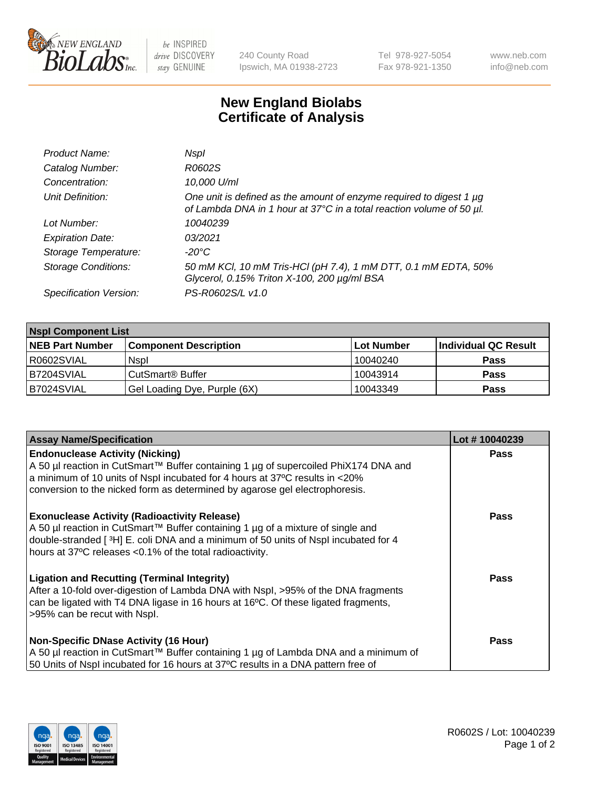

 $be$  INSPIRED drive DISCOVERY stay GENUINE

240 County Road Ipswich, MA 01938-2723 Tel 978-927-5054 Fax 978-921-1350 www.neb.com info@neb.com

## **New England Biolabs Certificate of Analysis**

| Product Name:              | Nspl                                                                                                                                             |
|----------------------------|--------------------------------------------------------------------------------------------------------------------------------------------------|
| Catalog Number:            | R0602S                                                                                                                                           |
| Concentration:             | 10,000 U/ml                                                                                                                                      |
| Unit Definition:           | One unit is defined as the amount of enzyme required to digest 1 $\mu$ g<br>of Lambda DNA in 1 hour at 37°C in a total reaction volume of 50 µl. |
| Lot Number:                | 10040239                                                                                                                                         |
| <b>Expiration Date:</b>    | 03/2021                                                                                                                                          |
| Storage Temperature:       | -20°C                                                                                                                                            |
| <b>Storage Conditions:</b> | 50 mM KCl, 10 mM Tris-HCl (pH 7.4), 1 mM DTT, 0.1 mM EDTA, 50%<br>Glycerol, 0.15% Triton X-100, 200 µg/ml BSA                                    |
| Specification Version:     | PS-R0602S/L v1.0                                                                                                                                 |

| <b>Nspl Component List</b> |                              |            |                      |  |  |
|----------------------------|------------------------------|------------|----------------------|--|--|
| <b>NEB Part Number</b>     | <b>Component Description</b> | Lot Number | Individual QC Result |  |  |
| I R0602SVIAL               | <b>Nspl</b>                  | 10040240   | <b>Pass</b>          |  |  |
| B7204SVIAL                 | CutSmart <sup>®</sup> Buffer | 10043914   | <b>Pass</b>          |  |  |
| B7024SVIAL                 | Gel Loading Dye, Purple (6X) | 10043349   | <b>Pass</b>          |  |  |

| <b>Assay Name/Specification</b>                                                                                                                                                                                                                                                          | Lot #10040239 |
|------------------------------------------------------------------------------------------------------------------------------------------------------------------------------------------------------------------------------------------------------------------------------------------|---------------|
| <b>Endonuclease Activity (Nicking)</b><br>  A 50 µl reaction in CutSmart™ Buffer containing 1 µg of supercoiled PhiX174 DNA and                                                                                                                                                          | <b>Pass</b>   |
| a minimum of 10 units of Nspl incubated for 4 hours at 37°C results in <20%<br>conversion to the nicked form as determined by agarose gel electrophoresis.                                                                                                                               |               |
| <b>Exonuclease Activity (Radioactivity Release)</b><br>A 50 µl reaction in CutSmart™ Buffer containing 1 µg of a mixture of single and<br>double-stranded [3H] E. coli DNA and a minimum of 50 units of Nspl incubated for 4<br>hours at 37°C releases <0.1% of the total radioactivity. | <b>Pass</b>   |
| Ligation and Recutting (Terminal Integrity)<br>After a 10-fold over-digestion of Lambda DNA with Nspl, >95% of the DNA fragments<br>can be ligated with T4 DNA ligase in 16 hours at 16 <sup>o</sup> C. Of these ligated fragments,<br>>95% can be recut with Nspl.                      | Pass          |
| Non-Specific DNase Activity (16 Hour)                                                                                                                                                                                                                                                    | <b>Pass</b>   |
| A 50 µl reaction in CutSmart™ Buffer containing 1 µg of Lambda DNA and a minimum of<br>50 Units of Nspl incubated for 16 hours at 37°C results in a DNA pattern free of                                                                                                                  |               |